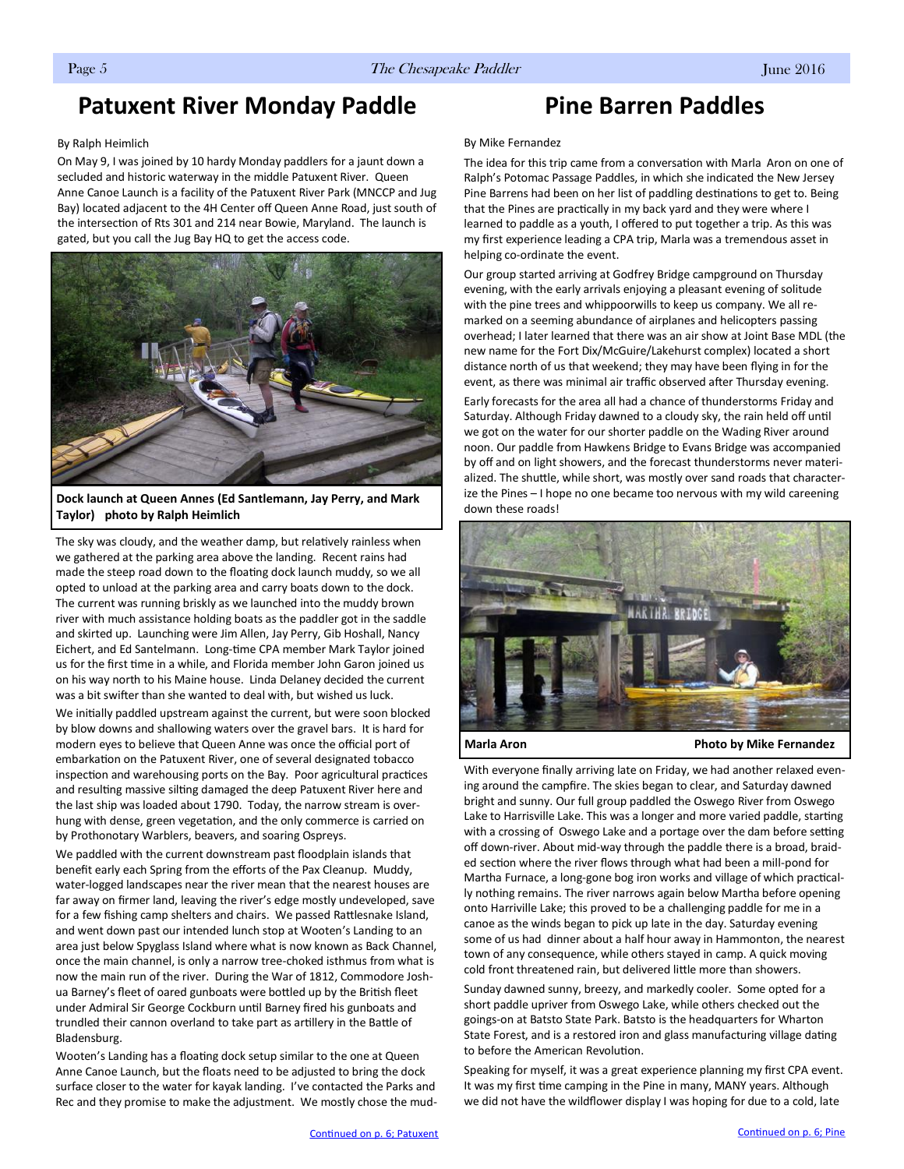# <span id="page-0-0"></span>**Patuxent River Monday Paddle**

### By Ralph Heimlich

On May 9, I was joined by 10 hardy Monday paddlers for a jaunt down a secluded and historic waterway in the middle Patuxent River. Queen Anne Canoe Launch is a facility of the Patuxent River Park (MNCCP and Jug Bay) located adjacent to the 4H Center off Queen Anne Road, just south of the intersection of Rts 301 and 214 near Bowie, Maryland. The launch is gated, but you call the Jug Bay HQ to get the access code.



**Dock launch at Queen Annes (Ed Santlemann, Jay Perry, and Mark Taylor) photo by Ralph Heimlich**

The sky was cloudy, and the weather damp, but relatively rainless when we gathered at the parking area above the landing. Recent rains had made the steep road down to the floating dock launch muddy, so we all opted to unload at the parking area and carry boats down to the dock. The current was running briskly as we launched into the muddy brown river with much assistance holding boats as the paddler got in the saddle and skirted up. Launching were Jim Allen, Jay Perry, Gib Hoshall, Nancy Eichert, and Ed Santelmann. Long-time CPA member Mark Taylor joined us for the first time in a while, and Florida member John Garon joined us on his way north to his Maine house. Linda Delaney decided the current was a bit swifter than she wanted to deal with, but wished us luck.

We initially paddled upstream against the current, but were soon blocked by blow downs and shallowing waters over the gravel bars. It is hard for modern eyes to believe that Queen Anne was once the official port of embarkation on the Patuxent River, one of several designated tobacco inspection and warehousing ports on the Bay. Poor agricultural practices and resulting massive silting damaged the deep Patuxent River here and the last ship was loaded about 1790. Today, the narrow stream is overhung with dense, green vegetation, and the only commerce is carried on by Prothonotary Warblers, beavers, and soaring Ospreys.

We paddled with the current downstream past floodplain islands that benefit early each Spring from the efforts of the Pax Cleanup. Muddy, water-logged landscapes near the river mean that the nearest houses are far away on firmer land, leaving the river's edge mostly undeveloped, save for a few fishing camp shelters and chairs. We passed Rattlesnake Island, and went down past our intended lunch stop at Wooten's Landing to an area just below Spyglass Island where what is now known as Back Channel, once the main channel, is only a narrow tree-choked isthmus from what is now the main run of the river. During the War of 1812, Commodore Joshua Barney's fleet of oared gunboats were bottled up by the British fleet under Admiral Sir George Cockburn until Barney fired his gunboats and trundled their cannon overland to take part as artillery in the Battle of Bladensburg.

Wooten's Landing has a floating dock setup similar to the one at Queen Anne Canoe Launch, but the floats need to be adjusted to bring the dock surface closer to the water for kayak landing. I've contacted the Parks and Rec and they promise to make the adjustment. We mostly chose the mud-

# **Pine Barren Paddles**

### By Mike Fernandez

The idea for this trip came from a conversation with Marla Aron on one of Ralph's Potomac Passage Paddles, in which she indicated the New Jersey Pine Barrens had been on her list of paddling destinations to get to. Being that the Pines are practically in my back yard and they were where I learned to paddle as a youth, I offered to put together a trip. As this was my first experience leading a CPA trip, Marla was a tremendous asset in helping co-ordinate the event.

Our group started arriving at Godfrey Bridge campground on Thursday evening, with the early arrivals enjoying a pleasant evening of solitude with the pine trees and whippoorwills to keep us company. We all remarked on a seeming abundance of airplanes and helicopters passing overhead; I later learned that there was an air show at Joint Base MDL (the new name for the Fort Dix/McGuire/Lakehurst complex) located a short distance north of us that weekend; they may have been flying in for the event, as there was minimal air traffic observed after Thursday evening.

Early forecasts for the area all had a chance of thunderstorms Friday and Saturday. Although Friday dawned to a cloudy sky, the rain held off until we got on the water for our shorter paddle on the Wading River around noon. Our paddle from Hawkens Bridge to Evans Bridge was accompanied by off and on light showers, and the forecast thunderstorms never materialized. The shuttle, while short, was mostly over sand roads that characterize the Pines – I hope no one became too nervous with my wild careening down these roads!



**Marla Aron Photo by Mike Fernandez** 

With everyone finally arriving late on Friday, we had another relaxed evening around the campfire. The skies began to clear, and Saturday dawned bright and sunny. Our full group paddled the Oswego River from Oswego Lake to Harrisville Lake. This was a longer and more varied paddle, starting with a crossing of Oswego Lake and a portage over the dam before setting off down-river. About mid-way through the paddle there is a broad, braided section where the river flows through what had been a mill-pond for Martha Furnace, a long-gone bog iron works and village of which practically nothing remains. The river narrows again below Martha before opening onto Harriville Lake; this proved to be a challenging paddle for me in a canoe as the winds began to pick up late in the day. Saturday evening some of us had dinner about a half hour away in Hammonton, the nearest town of any consequence, while others stayed in camp. A quick moving cold front threatened rain, but delivered little more than showers.

Sunday dawned sunny, breezy, and markedly cooler. Some opted for a short paddle upriver from Oswego Lake, while others checked out the goings-on at Batsto State Park. Batsto is the headquarters for Wharton State Forest, and is a restored iron and glass manufacturing village dating to before the American Revolution.

Speaking for myself, it was a great experience planning my first CPA event. It was my first time camping in the Pine in many, MANY years. Although we did not have the wildflower display I was hoping for due to a cold, late